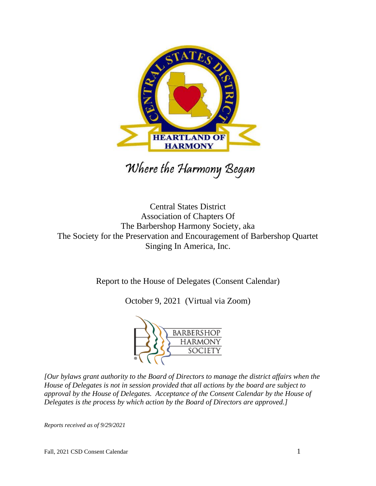

Where the Harmony Began

Central States District Association of Chapters Of The Barbershop Harmony Society, aka The Society for the Preservation and Encouragement of Barbershop Quartet Singing In America, Inc.

Report to the House of Delegates (Consent Calendar)

October 9, 2021 (Virtual via Zoom)



*[Our bylaws grant authority to the Board of Directors to manage the district affairs when the House of Delegates is not in session provided that all actions by the board are subject to approval by the House of Delegates. Acceptance of the Consent Calendar by the House of Delegates is the process by which action by the Board of Directors are approved.]*

*Reports received as of 9/29/2021*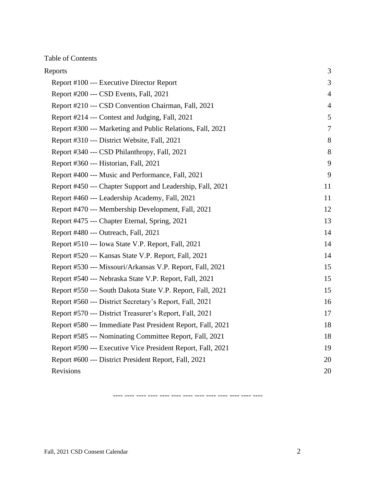Table of Contents

| Reports                                                     | 3              |
|-------------------------------------------------------------|----------------|
| Report #100 --- Executive Director Report                   | 3              |
| Report #200 --- CSD Events, Fall, 2021                      | $\overline{4}$ |
| Report #210 --- CSD Convention Chairman, Fall, 2021         | $\overline{4}$ |
| Report #214 --- Contest and Judging, Fall, 2021             | 5              |
| Report #300 --- Marketing and Public Relations, Fall, 2021  | $\tau$         |
| Report #310 --- District Website, Fall, 2021                | 8              |
| Report #340 --- CSD Philanthropy, Fall, 2021                | 8              |
| Report #360 --- Historian, Fall, 2021                       | 9              |
| Report #400 --- Music and Performance, Fall, 2021           | 9              |
| Report #450 --- Chapter Support and Leadership, Fall, 2021  | 11             |
| Report #460 --- Leadership Academy, Fall, 2021              | 11             |
| Report #470 --- Membership Development, Fall, 2021          | 12             |
| Report #475 --- Chapter Eternal, Spring, 2021               | 13             |
| Report #480 --- Outreach, Fall, 2021                        | 14             |
| Report #510 --- Iowa State V.P. Report, Fall, 2021          | 14             |
| Report #520 --- Kansas State V.P. Report, Fall, 2021        | 14             |
| Report #530 --- Missouri/Arkansas V.P. Report, Fall, 2021   | 15             |
| Report #540 --- Nebraska State V.P. Report, Fall, 2021      | 15             |
| Report #550 --- South Dakota State V.P. Report, Fall, 2021  | 15             |
| Report #560 --- District Secretary's Report, Fall, 2021     | 16             |
| Report #570 --- District Treasurer's Report, Fall, 2021     | 17             |
| Report #580 --- Immediate Past President Report, Fall, 2021 | 18             |
| Report #585 --- Nominating Committee Report, Fall, 2021     | 18             |
| Report #590 --- Executive Vice President Report, Fall, 2021 | 19             |
| Report #600 --- District President Report, Fall, 2021       | 20             |
| Revisions                                                   | 20             |

---- ---- ---- ---- ---- ---- ---- ---- ---- ---- ---- ---- ----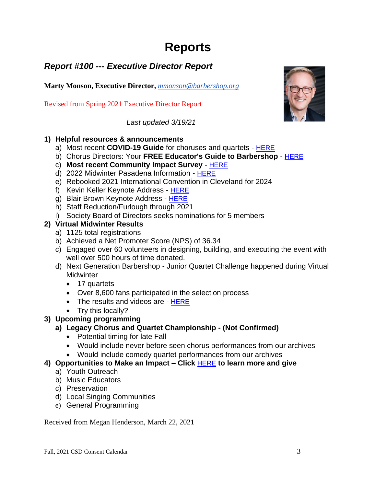# **Reports**

### <span id="page-2-1"></span><span id="page-2-0"></span>*Report #100 --- Executive Director Report*

**Marty Monson, Executive Director,** *[mmonson@barbershop.org](mailto:mmonson@barbershop.org)*

Revised from Spring 2021 Executive Director Report

*Last updated 3/19/21*

#### **1) Helpful resources & announcements**

- a) Most recent **COVID-19 Guide** for choruses and quartets [HERE](https://files.barbershop.org/PDFs/BHS/COVID-19-Interim-Guidance-for-BHS-Ensembles-and-Singing-Communities-v1.3.pdf)
- b) Chorus Directors: Your **FREE Educator's Guide to Barbershop** [HERE](https://t.e2ma.net/message/rnfgxf/rre6vk)
- c) **Most recent Community Impact Survey** [HERE](https://t.e2ma.net/webview/zh8oxf/a50d2a53b42eaec1d30168f2a9216dd8)
- d) 2022 Midwinter Pasadena Information [HERE](https://t.e2ma.net/message/vu32tf/rre6vk)
- e) Rebooked 2021 International Convention in Cleveland for 2024
- f) Kevin Keller Keynote Address [HERE](https://youtu.be/pucYYi_p-Co)
- g) Blair Brown Keynote Address [HERE](https://youtu.be/Uwf4T22ebDE)
- h) Staff Reduction/Furlough through 2021
- i) Society Board of Directors seeks nominations for 5 members

#### **2) Virtual Midwinter Results**

- a) 1125 total registrations
- b) Achieved a Net Promoter Score (NPS) of 36.34
- c) Engaged over 60 volunteers in designing, building, and executing the event with well over 500 hours of time donated.
- d) Next Generation Barbershop Junior Quartet Challenge happened during Virtual **Midwinter** 
	- 17 quartets
	- Over 8,600 fans participated in the selection process
	- The results and videos are [HERE](https://www.barbershop.org/2021-virtual-junior-quartet-challenge-results)
	- Try this locally?

#### **3) Upcoming programming**

- **a) Legacy Chorus and Quartet Championship - (Not Confirmed)**
	- Potential timing for late Fall
	- Would include never before seen chorus performances from our archives
	- Would include comedy quartet performances from our archives

#### **4) Opportunities to Make an Impact – Click** [HERE](https://give.barbershop.org/campaign/barbershop-harmony-society/c294985?c_src=donate_BHS_main_nav) **to learn more and give**

- a) Youth Outreach
- b) Music Educators
- c) Preservation
- d) Local Singing Communities
- e) General Programming

Received from Megan Henderson, March 22, 2021

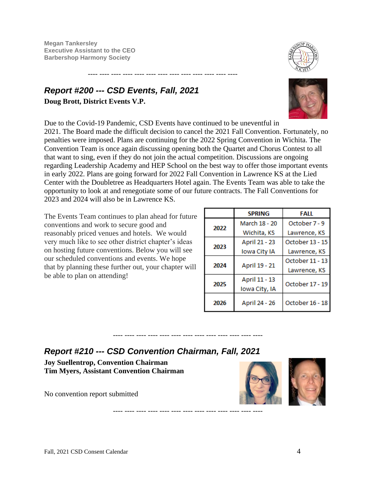**Megan Tankersley Executive Assistant to the CEO Barbershop Harmony Society**

### <span id="page-3-0"></span>*Report #200 --- CSD Events, Fall, 2021* **Doug Brott, District Events V.P.**



Due to the Covid-19 Pandemic, CSD Events have continued to be uneventful in 2021. The Board made the difficult decision to cancel the 2021 Fall Convention. Fortunately, no penalties were imposed. Plans are continuing for the 2022 Spring Convention in Wichita. The Convention Team is once again discussing opening both the Quartet and Chorus Contest to all that want to sing, even if they do not join the actual competition. Discussions are ongoing regarding Leadership Academy and HEP School on the best way to offer those important events in early 2022. Plans are going forward for 2022 Fall Convention in Lawrence KS at the Lied Center with the Doubletree as Headquarters Hotel again. The Events Team was able to take the opportunity to look at and renegotiate some of our future contracts. The Fall Conventions for 2023 and 2024 will also be in Lawrence KS.

---- ---- ---- ---- ---- ---- ---- ---- ---- ---- ---- ---- ----

--- ---- ---- ---- ---- ---- ---- ---- ---

---- ---- ---- ---- ---- ---- ---- ---- ---- ---- ---- ---- ----

The Events Team continues to plan ahead for future conventions and work to secure good and reasonably priced venues and hotels. We would very much like to see other district chapter's ideas on hosting future conventions. Below you will see our scheduled conventions and events. We hope that by planning these further out, your chapter will be able to plan on attending!

|      | <b>SPRING</b> | FALL            |  |
|------|---------------|-----------------|--|
| 2022 | March 18 - 20 | October 7 - 9   |  |
|      | Wichita, KS   | Lawrence, KS    |  |
| 2023 | April 21 - 23 | October 13 - 15 |  |
|      | Iowa City IA  | Lawrence, KS    |  |
| 2024 |               | October 11 - 13 |  |
|      | April 19 - 21 | Lawrence, KS    |  |
| 2025 | April 11 - 13 | October 17 - 19 |  |
|      | Iowa City, IA |                 |  |
| 2026 | April 24 - 26 | October 16 - 18 |  |

### <span id="page-3-1"></span>*Report #210 --- CSD Convention Chairman, Fall, 2021*

**Joy Suellentrop, Convention Chairman Tim Myers, Assistant Convention Chairman**

No convention report submitted

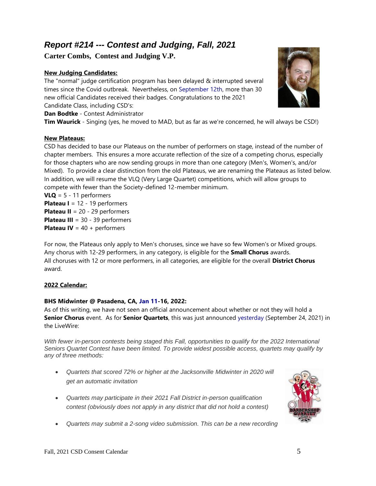### <span id="page-4-0"></span>*Report #214 --- Contest and Judging, Fall, 2021*

**Carter Combs, Contest and Judging V.P.**

#### **New Judging Candidates:**

The "normal" judge certification program has been delayed & interrupted several times since the Covid outbreak. Nevertheless, on September 12th, more than 30 new official Candidates received their badges. Congratulations to the 2021 Candidate Class, including CSD's:

**Dan Bodtke** - Contest Administrator

**Tim Waurick** - Singing (yes, he moved to MAD, but as far as we're concerned, he will always be CSD!)

#### **New Plateaus:**

CSD has decided to base our Plateaus on the number of performers on stage, instead of the number of chapter members. This ensures a more accurate reflection of the size of a competing chorus, especially for those chapters who are now sending groups in more than one category (Men's, Women's, and/or Mixed). To provide a clear distinction from the old Plateaus, we are renaming the Plateaus as listed below. In addition, we will resume the VLQ (Very Large Quartet) competitions, which will allow groups to compete with fewer than the Society-defined 12-member minimum.

**VLQ** = 5 - 11 performers **Plateau I** = 12 - 19 performers **Plateau II** = 20 - 29 performers **Plateau III** = 30 - 39 performers **Plateau IV** = 40 + performers

For now, the Plateaus only apply to Men's choruses, since we have so few Women's or Mixed groups. Any chorus with 12-29 performers, in any category, is eligible for the **Small Chorus** awards. All choruses with 12 or more performers, in all categories, are eligible for the overall **District Chorus** award.

#### **2022 Calendar:**

#### **BHS Midwinter @ Pasadena, CA, Jan 11-16, 2022:**

As of this writing, we have not seen an official announcement about whether or not they will hold a **Senior Chorus** event. As for **Senior Quartets**, this was just announced yesterday (September 24, 2021) in the LiveWire:

*With fewer in-person contests being staged this Fall, opportunities to qualify for the 2022 International Seniors Quartet Contest have been limited. To provide widest possible access, quartets may qualify by any of three methods:*

- *Quartets that scored 72% or higher at the Jacksonville Midwinter in 2020 will get an automatic invitation*
- *Quartets may participate in their 2021 Fall District in-person qualification contest (obviously does not apply in any district that did not hold a contest)*
- *Quartets may submit a 2-song video submission. This can be a new recording*



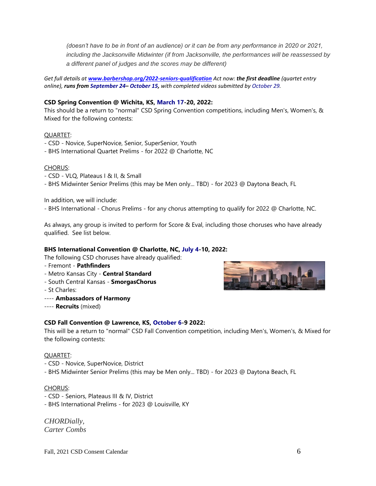*(doesn't have to be in front of an audience) or it can be from any performance in 2020 or 2021, including the Jacksonville Midwinter (if from Jacksonville, the performances will be reassessed by a different panel of judges and the scores may be different)*

*Get full details at [www.barbershop.org/2022-seniors-qualification](http://www.barbershop.org/2022-seniors-qualification) Act now: the first deadline (quartet entry online), runs from September 24– October 15, with completed videos submitted by October 29.*

#### **CSD Spring Convention @ Wichita, KS, March 17-20, 2022:**

This should be a return to "normal" CSD Spring Convention competitions, including Men's, Women's, & Mixed for the following contests:

#### QUARTET:

- CSD Novice, SuperNovice, Senior, SuperSenior, Youth
- BHS International Quartet Prelims for 2022 @ Charlotte, NC

#### CHORUS:

- CSD VLQ, Plateaus I & II, & Small
- BHS Midwinter Senior Prelims (this may be Men only... TBD) for 2023 @ Daytona Beach, FL

In addition, we will include:

- BHS International - Chorus Prelims - for any chorus attempting to qualify for 2022 @ Charlotte, NC.

As always, any group is invited to perform for Score & Eval, including those choruses who have already qualified. See list below.

#### **BHS International Convention @ Charlotte, NC, July 4-10, 2022:**

The following CSD choruses have already qualified:

- Fremont **Pathfinders**
- Metro Kansas City **Central Standard**
- South Central Kansas **SmorgasChorus**
- St Charles:
- ---- **Ambassadors of Harmony**
- ---- **Recruits** (mixed)

#### **CSD Fall Convention @ Lawrence, KS, October 6-9 2022:**

This will be a return to "normal" CSD Fall Convention competition, including Men's, Women's, & Mixed for the following contests:

#### QUARTET:

- CSD Novice, SuperNovice, District
- BHS Midwinter Senior Prelims (this may be Men only... TBD) for 2023 @ Daytona Beach, FL

#### CHORUS:

- CSD Seniors, Plateaus III & IV, District
- BHS International Prelims for 2023 @ Louisville, KY

*CHORDially, Carter Combs*

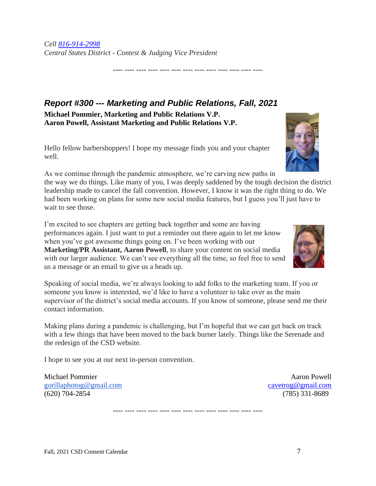*Cell [816-914-2998](callto:816-914-2998) Central States District - Contest & Judging Vice President*

<span id="page-6-0"></span>*Report #300 --- Marketing and Public Relations, Fall, 2021* **Michael Pommier, Marketing and Public Relations V.P. Aaron Powell, Assistant Marketing and Public Relations V.P.**

Hello fellow barbershoppers! I hope my message finds you and your chapter well.

As we continue through the pandemic atmosphere, we're carving new paths in the way we do things. Like many of you, I was deeply saddened by the tough decision the district leadership made to cancel the fall convention. However, I know it was the right thing to do. We had been working on plans for some new social media features, but I guess you'll just have to wait to see those.

---- ---- ---- ---- ---- ---- ---- ---- ---- ---- ---- ---- ----

I'm excited to see chapters are getting back together and some are having performances again. I just want to put a reminder out there again to let me know when you've got awesome things going on. I've been working with our **Marketing/PR Assistant, Aaron Powell**, to share your content on social media with our larger audience. We can't see everything all the time, so feel free to send us a message or an email to give us a heads up.

Speaking of social media, we're always looking to add folks to the marketing team. If you or someone you know is interested, we'd like to have a volunteer to take over as the main supervisor of the district's social media accounts. If you know of someone, please send me their contact information.

Making plans during a pandemic is challenging, but I'm hopeful that we can get back on track with a few things that have been moved to the back burner lately. Things like the Serenade and the redesign of the CSD website.

---- ---- ---- ---- ---- ---- ---- ---- ---- ---- ---- ---- ----

I hope to see you at our next in-person convention.

Michael Pommier **Aaron Powell** [gorillaphotog@gmail.com](mailto:gorillaphotog@gmail.com) [cavetrog@gmail.com](mailto:cavetrog@gmail.com) cavetrog@gmail.com (620) 704-2854 (785) 331-8689



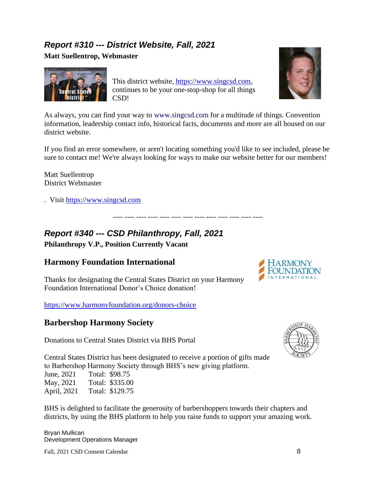### <span id="page-7-0"></span>*Report #310 --- District Website, Fall, 2021*

**Matt Suellentrop, Webmaster**



This district website, [https://www.singcsd.com,](https://www.singcsd.com/) continues to be your one-stop-shop for all things CSD!



As always, you can find your way to [www.singcsd.com](http://www.singcsd.com/) for a multitude of things. Convention information, leadership contact info, historical facts, documents and more are all housed on our district website.

If you find an error somewhere, or aren't locating something you'd like to see included, please be sure to contact me! We're always looking for ways to make our website better for our members!

---- ---- ---- ---- ---- ---- ---- ---- ---- ---- ---- ---- ----

Matt Suellentrop District Webmaster

. Visit [https://www.singcsd.com](https://www.singcsd.com/)

# <span id="page-7-1"></span>*Report #340 --- CSD Philanthropy, Fall, 2021*

**Philanthropy V.P., Position Currently Vacant**

### **Harmony Foundation International**

Thanks for designating the Central States District on your Harmony Foundation International Donor's Choice donation!

<https://www.harmonyfoundation.org/donors-choice>

#### **Barbershop Harmony Society**

Donations to Central States District via BHS Portal





Central States District has been designated to receive a portion of gifts made to Barbershop Harmony Society through BHS's new giving platform. June, 2021 Total: \$98.75

May, 2021 Total: \$335.00 April, 2021 Total: \$129.75

BHS is delighted to facilitate the generosity of barbershoppers towards their chapters and districts, by using the BHS platform to help you raise funds to support your amazing work.

Bryan Mullican Development Operations Manager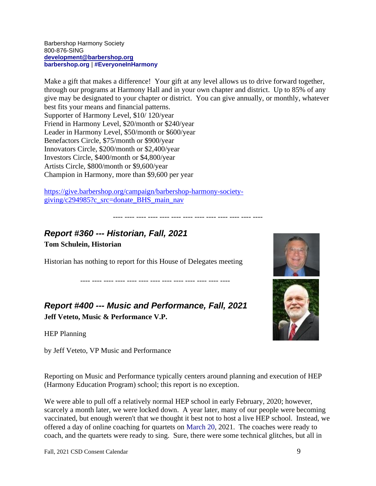Barbershop Harmony Society 800-876-SING **[development@barbershop.org](mailto:customerservice@barbershop.org) [barbershop.org](https://na01.safelinks.protection.outlook.com/?url=http%3A%2F%2Fwww.barbershop.org%2F&data=04%7C01%7C%7C8c3095d6e77d486bbf7708d940a5c994%7C84df9e7fe9f640afb435aaaaaaaaaaaa%7C1%7C0%7C637611903054948041%7CUnknown%7CTWFpbGZsb3d8eyJWIjoiMC4wLjAwMDAiLCJQIjoiV2luMzIiLCJBTiI6Ik1haWwiLCJXVCI6Mn0%3D%7C1000&sdata=bx3YTCIDXVIzf9uajGhSFXDE3mwEDmS2SnDeTKNYo2Y%3D&reserved=0)** | **[#EveryoneInHarmony](https://na01.safelinks.protection.outlook.com/?url=http%3A%2F%2Fwww.barbershop.org%2Feveryoneinharmony&data=04%7C01%7C%7C8c3095d6e77d486bbf7708d940a5c994%7C84df9e7fe9f640afb435aaaaaaaaaaaa%7C1%7C0%7C637611903054948041%7CUnknown%7CTWFpbGZsb3d8eyJWIjoiMC4wLjAwMDAiLCJQIjoiV2luMzIiLCJBTiI6Ik1haWwiLCJXVCI6Mn0%3D%7C1000&sdata=OWCO8I2CMEl89uPYRXyF6VfaSvFpUuKVRsyPKHIfG3M%3D&reserved=0)**

Make a gift that makes a difference! Your gift at any level allows us to drive forward together, through our programs at Harmony Hall and in your own chapter and district. Up to 85% of any give may be designated to your chapter or district. You can give annually, or monthly, whatever best fits your means and financial patterns. Supporter of Harmony Level, \$10/ 120/year Friend in Harmony Level, \$20/month or \$240/year Leader in Harmony Level, \$50/month or \$600/year Benefactors Circle, \$75/month or \$900/year Innovators Circle, \$200/month or \$2,400/year Investors Circle, \$400/month or \$4,800/year Artists Circle, \$800/month or \$9,600/year Champion in Harmony, more than \$9,600 per year

---- ---- ---- ---- ---- ---- ---- ---- ---- ---- ---- ---- ----

[https://give.barbershop.org/campaign/barbershop-harmony-society](https://give.barbershop.org/campaign/barbershop-harmony-society-giving/c294985?c_src=donate_BHS_main_nav)[giving/c294985?c\\_src=donate\\_BHS\\_main\\_nav](https://give.barbershop.org/campaign/barbershop-harmony-society-giving/c294985?c_src=donate_BHS_main_nav)

# <span id="page-8-0"></span>*Report #360 --- Historian, Fall, 2021*

**Tom Schulein, Historian**

Historian has nothing to report for this House of Delegates meeting

<span id="page-8-1"></span>*Report #400 --- Music and Performance, Fall, 2021* **Jeff Veteto, Music & Performance V.P.**

---- ---- ---- ---- ---- ---- ---- ---- ---- ---- ---- ---- ----

HEP Planning

by Jeff Veteto, VP Music and Performance

Reporting on Music and Performance typically centers around planning and execution of HEP (Harmony Education Program) school; this report is no exception.

We were able to pull off a relatively normal HEP school in early February, 2020; however, scarcely a month later, we were locked down. A year later, many of our people were becoming vaccinated, but enough weren't that we thought it best not to host a live HEP school. Instead, we offered a day of online coaching for quartets on March 20, 2021. The coaches were ready to coach, and the quartets were ready to sing. Sure, there were some technical glitches, but all in



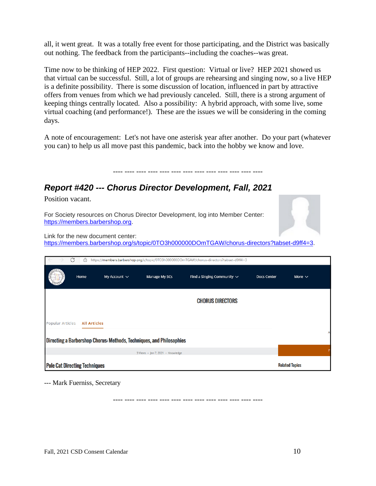all, it went great. It was a totally free event for those participating, and the District was basically out nothing. The feedback from the participants--including the coaches--was great.

Time now to be thinking of HEP 2022. First question: Virtual or live? HEP 2021 showed us that virtual can be successful. Still, a lot of groups are rehearsing and singing now, so a live HEP is a definite possibility. There is some discussion of location, influenced in part by attractive offers from venues from which we had previously canceled. Still, there is a strong argument of keeping things centrally located. Also a possibility: A hybrid approach, with some live, some virtual coaching (and performance!). These are the issues we will be considering in the coming days.

A note of encouragement: Let's not have one asterisk year after another. Do your part (whatever you can) to help us all move past this pandemic, back into the hobby we know and love.

---- ---- ---- ---- ---- ---- ---- ---- ---- ---- ---- ---- ----

### *Report #420 --- Chorus Director Development, Fall, 2021*

Position vacant.

For Society resources on Chorus Director Development, log into Member Center: [https://members.barbershop.org.](https://members.barbershop.org/)



Link for the new document center:

[https://members.barbershop.org/s/topic/0TO3h000000DOmTGAW/chorus-directors?tabset-d9ff4=3.](https://members.barbershop.org/s/topic/0TO3h000000DOmTGAW/chorus-directors?tabset-d9ff4=3) 

|                                                                      | G<br>https://members.barbershop.org/s/topic/0TO3h000000DOmTGAW/chorus-directors?tabset-d9ff4=3<br>ö |                   |                                   |                                 |                       |             |
|----------------------------------------------------------------------|-----------------------------------------------------------------------------------------------------|-------------------|-----------------------------------|---------------------------------|-----------------------|-------------|
|                                                                      | Home                                                                                                | My Account $\vee$ | Manage My SCs                     | Find a Singing Community $\vee$ | <b>Docs Center</b>    | More $\vee$ |
|                                                                      |                                                                                                     |                   |                                   | <b>CHORUS DIRECTORS</b>         |                       |             |
| Popular Articles<br><b>All Articles</b>                              |                                                                                                     |                   |                                   |                                 |                       |             |
| Directing a Barbershop Chorus: Methods, Techniques, and Philosophies |                                                                                                     |                   |                                   |                                 |                       |             |
|                                                                      |                                                                                                     |                   | 3 Views · Jan 7, 2021 · Knowledge |                                 |                       |             |
| <b>Pole Cat Directing Techniques</b>                                 |                                                                                                     |                   |                                   |                                 | <b>Related Topics</b> |             |

--- Mark Fuerniss, Secretary

---- ---- ---- ---- ---- ---- ---- ---- ---- ---- ---- ---- ----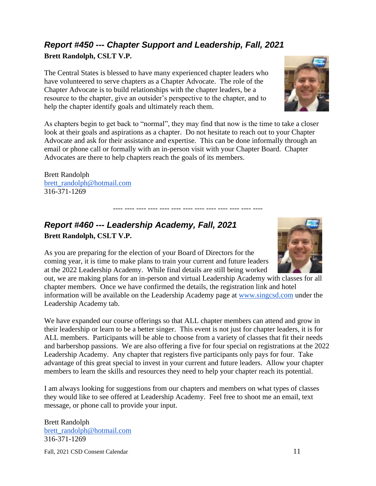# <span id="page-10-0"></span>*Report #450 --- Chapter Support and Leadership, Fall, 2021*

**Brett Randolph, CSLT V.P.**

The Central States is blessed to have many experienced chapter leaders who have volunteered to serve chapters as a Chapter Advocate. The role of the Chapter Advocate is to build relationships with the chapter leaders, be a resource to the chapter, give an outsider's perspective to the chapter, and to help the chapter identify goals and ultimately reach them.

As chapters begin to get back to "normal", they may find that now is the time to take a closer look at their goals and aspirations as a chapter. Do not hesitate to reach out to your Chapter Advocate and ask for their assistance and expertise. This can be done informally through an email or phone call or formally with an in-person visit with your Chapter Board. Chapter Advocates are there to help chapters reach the goals of its members.

Brett Randolph [brett\\_randolph@hotmail.com](mailto:brett_randolph@hotmail.com) 316-371-1269

### <span id="page-10-1"></span>*Report #460 --- Leadership Academy, Fall, 2021* **Brett Randolph, CSLT V.P.**

As you are preparing for the election of your Board of Directors for the coming year, it is time to make plans to train your current and future leaders at the 2022 Leadership Academy. While final details are still being worked

out, we are making plans for an in-person and virtual Leadership Academy with classes for all chapter members. Once we have confirmed the details, the registration link and hotel information will be available on the Leadership Academy page at [www.singcsd.com](http://www.singcsd.com/) under the Leadership Academy tab.

We have expanded our course offerings so that ALL chapter members can attend and grow in their leadership or learn to be a better singer. This event is not just for chapter leaders, it is for ALL members. Participants will be able to choose from a variety of classes that fit their needs and barbershop passions. We are also offering a five for four special on registrations at the 2022 Leadership Academy. Any chapter that registers five participants only pays for four. Take advantage of this great special to invest in your current and future leaders. Allow your chapter members to learn the skills and resources they need to help your chapter reach its potential.

I am always looking for suggestions from our chapters and members on what types of classes they would like to see offered at Leadership Academy. Feel free to shoot me an email, text message, or phone call to provide your input.

Brett Randolph [brett\\_randolph@hotmail.com](mailto:brett_randolph@hotmail.com) 316-371-1269



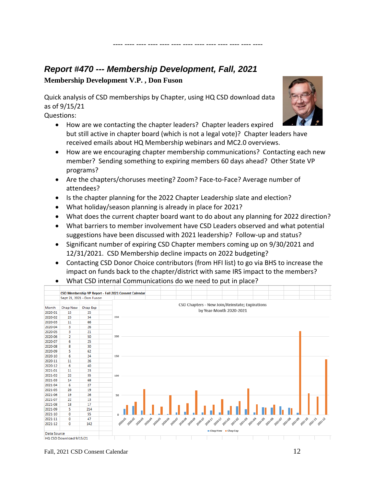### <span id="page-11-0"></span>*Report #470 --- Membership Development, Fall, 2021*

**Membership Development V.P. , Don Fuson**

Quick analysis of CSD memberships by Chapter, using HQ CSD download data as of 9/15/21

Questions:



• How are we contacting the chapter leaders? Chapter leaders expired but still active in chapter board (which is not a legal vote)? Chapter leaders have received emails about HQ Membership webinars and MC2.0 overviews.

---- ---- ---- ---- ---- ---- ---- ---- ---- ---- ---- ---- ----

- How are we encouraging chapter membership communications? Contacting each new member? Sending something to expiring members 60 days ahead? Other State VP programs?
- Are the chapters/choruses meeting? Zoom? Face-to-Face? Average number of attendees?
- Is the chapter planning for the 2022 Chapter Leadership slate and election?
- What holiday/season planning is already in place for 2021?
- What does the current chapter board want to do about any planning for 2022 direction?
- What barriers to member involvement have CSD Leaders observed and what potential suggestions have been discussed with 2021 leadership? Follow-up and status?
- Significant number of expiring CSD Chapter members coming up on 9/30/2021 and 12/31/2021. CSD Membership decline impacts on 2022 budgeting?
- Contacting CSD Donor Choice contributors (from HFI list) to go via BHS to increase the impact on funds back to the chapter/district with same IRS impact to the members?
- What CSD internal Communications do we need to put in place?

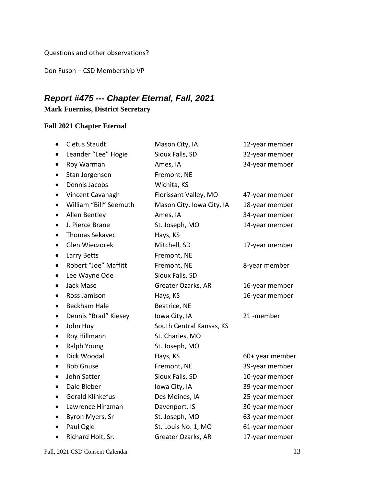Questions and other observations?

Don Fuson – CSD Membership VP

### <span id="page-12-0"></span>*Report #475 --- Chapter Eternal, Fall, 2021*

#### **Mark Fuerniss, District Secretary**

#### **Fall 2021 Chapter Eternal**

|           | <b>Cletus Staudt</b>   | Mason City, IA            | 12-year member  |
|-----------|------------------------|---------------------------|-----------------|
|           | Leander "Lee" Hogie    | Sioux Falls, SD           | 32-year member  |
|           | Roy Warman             | Ames, IA                  | 34-year member  |
| $\bullet$ | Stan Jorgensen         | Fremont, NE               |                 |
|           | Dennis Jacobs          | Wichita, KS               |                 |
|           | Vincent Cavanagh       | Florissant Valley, MO     | 47-year member  |
| $\bullet$ | William "Bill" Seemuth | Mason City, Iowa City, IA | 18-year member  |
| $\bullet$ | Allen Bentley          | Ames, IA                  | 34-year member  |
|           | J. Pierce Brane        | St. Joseph, MO            | 14-year member  |
|           | <b>Thomas Sekavec</b>  | Hays, KS                  |                 |
| $\bullet$ | Glen Wieczorek         | Mitchell, SD              | 17-year member  |
|           | Larry Betts            | Fremont, NE               |                 |
|           | Robert "Joe" Maffitt   | Fremont, NE               | 8-year member   |
|           | Lee Wayne Ode          | Sioux Falls, SD           |                 |
|           | Jack Mase              | Greater Ozarks, AR        | 16-year member  |
|           | Ross Jamison           | Hays, KS                  | 16-year member  |
|           | <b>Beckham Hale</b>    | Beatrice, NE              |                 |
|           | Dennis "Brad" Kiesey   | Iowa City, IA             | 21-member       |
| $\bullet$ | John Huy               | South Central Kansas, KS  |                 |
|           | Roy Hillmann           | St. Charles, MO           |                 |
|           | Ralph Young            | St. Joseph, MO            |                 |
| $\bullet$ | Dick Woodall           | Hays, KS                  | 60+ year member |
|           | <b>Bob Gnuse</b>       | Fremont, NE               | 39-year member  |
|           | John Satter            | Sioux Falls, SD           | 10-year member  |
|           | Dale Bieber            | Iowa City, IA             | 39-year member  |
| $\bullet$ | Gerald Klinkefus       | Des Moines, IA            | 25-year member  |
|           | Lawrence Hinzman       | Davenport, IS             | 30-year member  |
|           | Byron Myers, Sr        | St. Joseph, MO            | 63-year member  |
|           | Paul Ogle              | St. Louis No. 1, MO       | 61-year member  |
|           | Richard Holt, Sr.      | Greater Ozarks, AR        | 17-year member  |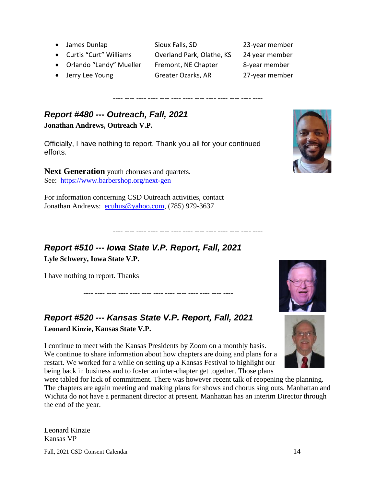- James Dunlap Sioux Falls, SD 23-year member
- Curtis "Curt" Williams Overland Park, Olathe, KS 24 year member
- Orlando "Landy" Mueller Fremont, NE Chapter 8-year member
- Jerry Lee Young Greater Ozarks, AR 27-year member

<span id="page-13-0"></span>*Report #480 --- Outreach, Fall, 2021*  **Jonathan Andrews, Outreach V.P.**

Officially, I have nothing to report. Thank you all for your continued efforts.

**Next Generation** youth choruses and quartets. See: <https://www.barbershop.org/next-gen>

For information concerning CSD Outreach activities, contact Jonathan Andrews: [ecuhus@yahoo.com,](mailto:ecuhus@yahoo.com) (785) 979-3637

### <span id="page-13-1"></span>*Report #510 --- Iowa State V.P. Report, Fall, 2021* **Lyle Schwery, Iowa State V.P.**

I have nothing to report. Thanks

# <span id="page-13-2"></span>*Report #520 --- Kansas State V.P. Report, Fall, 2021* **Leonard Kinzie, Kansas State V.P.**

I continue to meet with the Kansas Presidents by Zoom on a monthly basis. We continue to share information about how chapters are doing and plans for a restart. We worked for a while on setting up a Kansas Festival to highlight our being back in business and to foster an inter-chapter get together. Those plans

---- ---- ---- ---- ---- ---- ---- ---- ---- ---- ---- ---- ----

were tabled for lack of commitment. There was however recent talk of reopening the planning. The chapters are again meeting and making plans for shows and chorus sing outs. Manhattan and Wichita do not have a permanent director at present. Manhattan has an interim Director through the end of the year.

---- ---- ---- ---- ---- ---- ---- ---- ---- ---- ---- ---- ----

Fall, 2021 CSD Consent Calendar 14

---- ---- ---- ---- ---- ---- ---- ---- ---- ---- ---- ---- ----



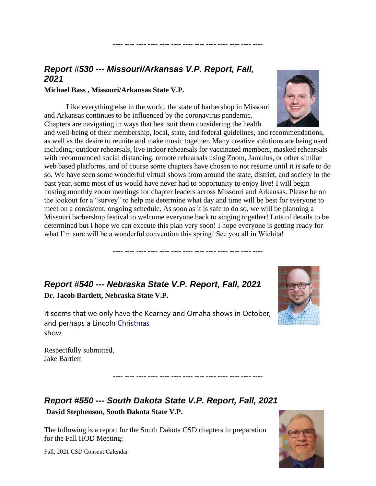## <span id="page-14-0"></span>*Report #530 --- Missouri/Arkansas V.P. Report, Fall, 2021*

#### **Michael Bass , Missouri/Arkansas State V.P.**

Like everything else in the world, the state of barbershop in Missouri and Arkansas continues to be influenced by the coronavirus pandemic. Chapters are navigating in ways that best suit them considering the health

and well-being of their membership, local, state, and federal guidelines, and recommendations, as well as the desire to reunite and make music together. Many creative solutions are being used including; outdoor rehearsals, live indoor rehearsals for vaccinated members, masked rehearsals with recommended social distancing, remote rehearsals using Zoom, Jamulus, or other similar web based platforms, and of course some chapters have chosen to not resume until it is safe to do so. We have seen some wonderful virtual shows from around the state, district, and society in the past year, some most of us would have never had to opportunity to enjoy live! I will begin hosting monthly zoom meetings for chapter leaders across Missouri and Arkansas. Please be on the lookout for a "survey" to help me determine what day and time will be best for everyone to meet on a consistent, ongoing schedule. As soon as it is safe to do so, we will be planning a Missouri barbershop festival to welcome everyone back to singing together! Lots of details to be determined but I hope we can execute this plan very soon! I hope everyone is getting ready for what I'm sure will be a wonderful convention this spring! See you all in Wichita!

---- ---- ---- ---- ---- ---- ---- ---- ---- ---- ---- ---- ----

---- ---- ---- ---- ---- ---- ---- ---- ---- ---- ---- ---- ----

---- ---- ---- ---- ---- ---- ---- ---- ---- ---- ---- ---- ----

### <span id="page-14-1"></span>*Report #540 --- Nebraska State V.P. Report, Fall, 2021* **Dr. Jacob Bartlett, Nebraska State V.P.**

It seems that we only have the Kearney and Omaha shows in October, and perhaps a Lincoln Christmas show.



Respectfully submitted, Jake Bartlett

### <span id="page-14-2"></span>*Report #550 --- South Dakota State V.P. Report, Fall, 2021* **David Stephenson, South Dakota State V.P.**

The following is a report for the South Dakota CSD chapters in preparation for the Fall HOD Meeting:



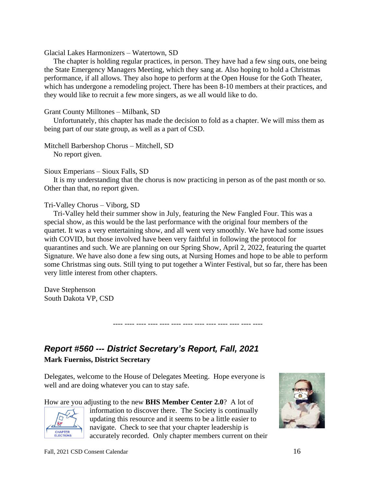Glacial Lakes Harmonizers – Watertown, SD

 The chapter is holding regular practices, in person. They have had a few sing outs, one being the State Emergency Managers Meeting, which they sang at. Also hoping to hold a Christmas performance, if all allows. They also hope to perform at the Open House for the Goth Theater, which has undergone a remodeling project. There has been 8-10 members at their practices, and they would like to recruit a few more singers, as we all would like to do.

#### Grant County Milltones – Milbank, SD

 Unfortunately, this chapter has made the decision to fold as a chapter. We will miss them as being part of our state group, as well as a part of CSD.

#### Mitchell Barbershop Chorus – Mitchell, SD

No report given.

#### Sioux Emperians – Sioux Falls, SD

 It is my understanding that the chorus is now practicing in person as of the past month or so. Other than that, no report given.

#### Tri-Valley Chorus – Viborg, SD

 Tri-Valley held their summer show in July, featuring the New Fangled Four. This was a special show, as this would be the last performance with the original four members of the quartet. It was a very entertaining show, and all went very smoothly. We have had some issues with COVID, but those involved have been very faithful in following the protocol for quarantines and such. We are planning on our Spring Show, April 2, 2022, featuring the quartet Signature. We have also done a few sing outs, at Nursing Homes and hope to be able to perform some Christmas sing outs. Still tying to put together a Winter Festival, but so far, there has been very little interest from other chapters.

---- ---- ---- ---- ---- ---- ---- ---- ---- ---- ---- ---- ----

Dave Stephenson South Dakota VP, CSD

### <span id="page-15-0"></span>*Report #560 --- District Secretary's Report, Fall, 2021*

#### **Mark Fuerniss, District Secretary**

Delegates, welcome to the House of Delegates Meeting. Hope everyone is well and are doing whatever you can to stay safe.

How are you adjusting to the new **BHS Member Center 2.0**? A lot of



information to discover there. The Society is continually updating this resource and it seems to be a little easier to navigate. Check to see that your chapter leadership is accurately recorded. Only chapter members current on their

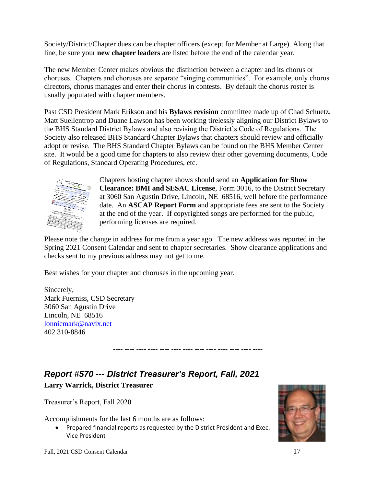Society/District/Chapter dues can be chapter officers (except for Member at Large). Along that line, be sure your **new chapter leaders** are listed before the end of the calendar year.

The new Member Center makes obvious the distinction between a chapter and its chorus or choruses. Chapters and choruses are separate "singing communities". For example, only chorus directors, chorus manages and enter their chorus in contests. By default the chorus roster is usually populated with chapter members.

Past CSD President Mark Erikson and his **Bylaws revision** committee made up of Chad Schuetz, Matt Suellentrop and Duane Lawson has been working tirelessly aligning our District Bylaws to the BHS Standard District Bylaws and also revising the District's Code of Regulations. The Society also released BHS Standard Chapter Bylaws that chapters should review and officially adopt or revise. The BHS Standard Chapter Bylaws can be found on the BHS Member Center site. It would be a good time for chapters to also review their other governing documents, Code of Regulations, Standard Operating Procedures, etc.



Chapters hosting chapter shows should send an **Application for Show Clearance: BMI and SESAC License**, Form 3016, to the District Secretary at 3060 San Agustin Drive, Lincoln, NE 68516, well before the performance date. An **ASCAP Report Form** and appropriate fees are sent to the Society at the end of the year. If copyrighted songs are performed for the public, performing licenses are required.

Please note the change in address for me from a year ago. The new address was reported in the Spring 2021 Consent Calendar and sent to chapter secretaries. Show clearance applications and checks sent to my previous address may not get to me.

---- ---- ---- ---- ---- ---- ---- ---- ---- ---- ---- ---- ----

Best wishes for your chapter and choruses in the upcoming year.

Sincerely, Mark Fuerniss, CSD Secretary 3060 San Agustin Drive Lincoln, NE 68516 [lonniemark@navix.net](mailto:lonniemark@navix.net) 402 310-8846

<span id="page-16-0"></span>*Report #570 --- District Treasurer's Report, Fall, 2021* **Larry Warrick, District Treasurer**

Treasurer's Report, Fall 2020

Accomplishments for the last 6 months are as follows:

• Prepared financial reports as requested by the District President and Exec. Vice President

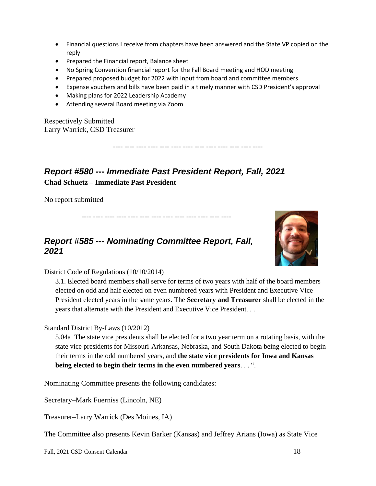- Financial questions I receive from chapters have been answered and the State VP copied on the reply
- Prepared the Financial report, Balance sheet
- No Spring Convention financial report for the Fall Board meeting and HOD meeting
- Prepared proposed budget for 2022 with input from board and committee members
- Expense vouchers and bills have been paid in a timely manner with CSD President's approval

---- ---- ---- ---- ---- ---- ---- ---- ---- ---- ---- ---- ----

- Making plans for 2022 Leadership Academy
- Attending several Board meeting via Zoom

Respectively Submitted Larry Warrick, CSD Treasurer

<span id="page-17-0"></span>*Report #580 --- Immediate Past President Report, Fall, 2021* **Chad Schuetz – Immediate Past President** 

No report submitted

### <span id="page-17-1"></span>*Report #585 --- Nominating Committee Report, Fall, 2021*

---- ---- ---- ---- ---- ---- ---- ---- ---- ---- ---- ---- ----



District Code of Regulations (10/10/2014)

3.1. Elected board members shall serve for terms of two years with half of the board members elected on odd and half elected on even numbered years with President and Executive Vice President elected years in the same years. The **Secretary and Treasurer** shall be elected in the years that alternate with the President and Executive Vice President. . .

Standard District By-Laws (10/2012)

5.04a The state vice presidents shall be elected for a two year term on a rotating basis, with the state vice presidents for Missouri-Arkansas, Nebraska, and South Dakota being elected to begin their terms in the odd numbered years, and **the state vice presidents for Iowa and Kansas being elected to begin their terms in the even numbered years**. . . ".

Nominating Committee presents the following candidates:

Secretary–Mark Fuerniss (Lincoln, NE)

Treasurer–Larry Warrick (Des Moines, IA)

The Committee also presents Kevin Barker (Kansas) and Jeffrey Arians (Iowa) as State Vice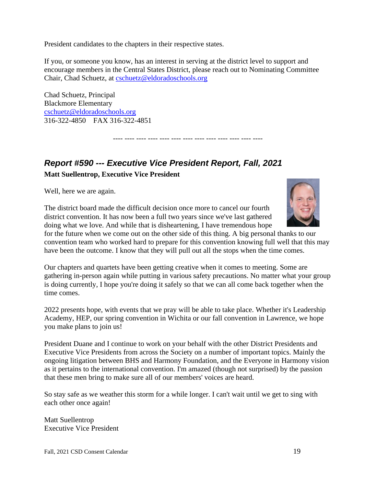President candidates to the chapters in their respective states.

If you, or someone you know, has an interest in serving at the district level to support and encourage members in the Central States District, please reach out to Nominating Committee Chair, Chad Schuetz, at [cschuetz@eldoradoschools.org](mailto:cschuetz@eldoradoschools.org)

---- ---- ---- ---- ---- ---- ---- ---- ---- ---- ---- ---- ----

Chad Schuetz, Principal Blackmore Elementary [cschuetz@eldoradoschools.org](mailto:cschuetz@eldoradoschools.org) 316-322-4850 FAX 316-322-4851

# <span id="page-18-0"></span>*Report #590 --- Executive Vice President Report, Fall, 2021*

**Matt Suellentrop, Executive Vice President** 

Well, here we are again.

The district board made the difficult decision once more to cancel our fourth district convention. It has now been a full two years since we've last gathered doing what we love. And while that is disheartening, I have tremendous hope

for the future when we come out on the other side of this thing. A big personal thanks to our convention team who worked hard to prepare for this convention knowing full well that this may have been the outcome. I know that they will pull out all the stops when the time comes.

Our chapters and quartets have been getting creative when it comes to meeting. Some are gathering in-person again while putting in various safety precautions. No matter what your group is doing currently, I hope you're doing it safely so that we can all come back together when the time comes.

2022 presents hope, with events that we pray will be able to take place. Whether it's Leadership Academy, HEP, our spring convention in Wichita or our fall convention in Lawrence, we hope you make plans to join us!

President Duane and I continue to work on your behalf with the other District Presidents and Executive Vice Presidents from across the Society on a number of important topics. Mainly the ongoing litigation between BHS and Harmony Foundation, and the Everyone in Harmony vision as it pertains to the international convention. I'm amazed (though not surprised) by the passion that these men bring to make sure all of our members' voices are heard.

So stay safe as we weather this storm for a while longer. I can't wait until we get to sing with each other once again!

Matt Suellentrop Executive Vice President